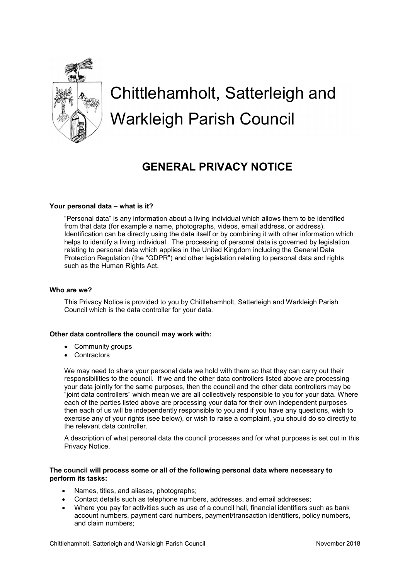

# Chittlehamholt, Satterleigh and Warkleigh Parish Council

# GENERAL PRIVACY NOTICE

#### Your personal data – what is it?

"Personal data" is any information about a living individual which allows them to be identified from that data (for example a name, photographs, videos, email address, or address). Identification can be directly using the data itself or by combining it with other information which helps to identify a living individual. The processing of personal data is governed by legislation relating to personal data which applies in the United Kingdom including the General Data Protection Regulation (the "GDPR") and other legislation relating to personal data and rights such as the Human Rights Act.

#### Who are we?

This Privacy Notice is provided to you by Chittlehamholt, Satterleigh and Warkleigh Parish Council which is the data controller for your data.

#### Other data controllers the council may work with:

- Community groups
- Contractors

We may need to share your personal data we hold with them so that they can carry out their responsibilities to the council. If we and the other data controllers listed above are processing your data jointly for the same purposes, then the council and the other data controllers may be "joint data controllers" which mean we are all collectively responsible to you for your data. Where each of the parties listed above are processing your data for their own independent purposes then each of us will be independently responsible to you and if you have any questions, wish to exercise any of your rights (see below), or wish to raise a complaint, you should do so directly to the relevant data controller.

A description of what personal data the council processes and for what purposes is set out in this Privacy Notice.

#### The council will process some or all of the following personal data where necessary to perform its tasks:

- Names, titles, and aliases, photographs;
- Contact details such as telephone numbers, addresses, and email addresses;
- Where you pay for activities such as use of a council hall, financial identifiers such as bank account numbers, payment card numbers, payment/transaction identifiers, policy numbers, and claim numbers;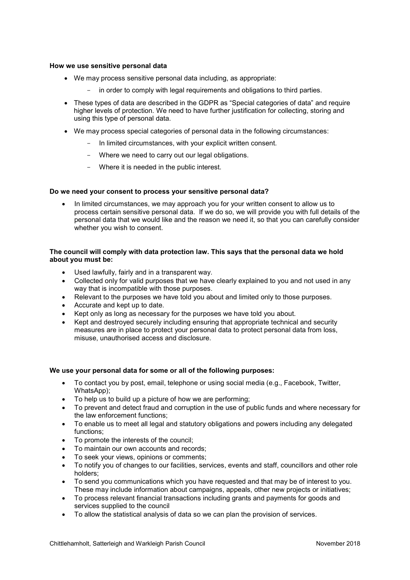#### How we use sensitive personal data

- We may process sensitive personal data including, as appropriate:
	- in order to comply with legal requirements and obligations to third parties.
- These types of data are described in the GDPR as "Special categories of data" and require higher levels of protection. We need to have further justification for collecting, storing and using this type of personal data.
- We may process special categories of personal data in the following circumstances:
	- In limited circumstances, with your explicit written consent.
	- Where we need to carry out our legal obligations.
	- Where it is needed in the public interest.

#### Do we need your consent to process your sensitive personal data?

• In limited circumstances, we may approach you for your written consent to allow us to process certain sensitive personal data. If we do so, we will provide you with full details of the personal data that we would like and the reason we need it, so that you can carefully consider whether you wish to consent.

#### The council will comply with data protection law. This says that the personal data we hold about you must be:

- Used lawfully, fairly and in a transparent way.
- Collected only for valid purposes that we have clearly explained to you and not used in any way that is incompatible with those purposes.
- Relevant to the purposes we have told you about and limited only to those purposes.
- Accurate and kept up to date.
- Kept only as long as necessary for the purposes we have told you about.
- Kept and destroyed securely including ensuring that appropriate technical and security measures are in place to protect your personal data to protect personal data from loss, misuse, unauthorised access and disclosure.

#### We use your personal data for some or all of the following purposes:

- To contact you by post, email, telephone or using social media (e.g., Facebook, Twitter, WhatsApp):
- To help us to build up a picture of how we are performing;
- To prevent and detect fraud and corruption in the use of public funds and where necessary for the law enforcement functions;
- To enable us to meet all legal and statutory obligations and powers including any delegated functions;
- To promote the interests of the council;
- To maintain our own accounts and records;
- To seek your views, opinions or comments;
- To notify you of changes to our facilities, services, events and staff, councillors and other role holders;
- To send you communications which you have requested and that may be of interest to you. These may include information about campaigns, appeals, other new projects or initiatives;
- To process relevant financial transactions including grants and payments for goods and services supplied to the council
- To allow the statistical analysis of data so we can plan the provision of services.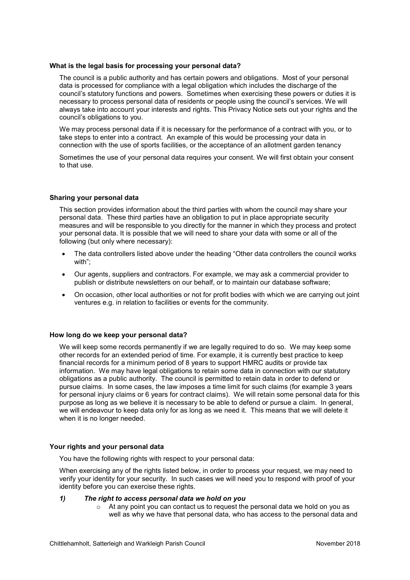#### What is the legal basis for processing your personal data?

The council is a public authority and has certain powers and obligations. Most of your personal data is processed for compliance with a legal obligation which includes the discharge of the council's statutory functions and powers. Sometimes when exercising these powers or duties it is necessary to process personal data of residents or people using the council's services. We will always take into account your interests and rights. This Privacy Notice sets out your rights and the council's obligations to you.

We may process personal data if it is necessary for the performance of a contract with you, or to take steps to enter into a contract. An example of this would be processing your data in connection with the use of sports facilities, or the acceptance of an allotment garden tenancy

Sometimes the use of your personal data requires your consent. We will first obtain your consent to that use.

#### Sharing your personal data

This section provides information about the third parties with whom the council may share your personal data. These third parties have an obligation to put in place appropriate security measures and will be responsible to you directly for the manner in which they process and protect your personal data. It is possible that we will need to share your data with some or all of the following (but only where necessary):

- The data controllers listed above under the heading "Other data controllers the council works with";
- Our agents, suppliers and contractors. For example, we may ask a commercial provider to publish or distribute newsletters on our behalf, or to maintain our database software;
- On occasion, other local authorities or not for profit bodies with which we are carrying out joint ventures e.g. in relation to facilities or events for the community.

#### How long do we keep your personal data?

We will keep some records permanently if we are legally required to do so. We may keep some other records for an extended period of time. For example, it is currently best practice to keep financial records for a minimum period of 8 years to support HMRC audits or provide tax information. We may have legal obligations to retain some data in connection with our statutory obligations as a public authority. The council is permitted to retain data in order to defend or pursue claims. In some cases, the law imposes a time limit for such claims (for example 3 years for personal injury claims or 6 years for contract claims). We will retain some personal data for this purpose as long as we believe it is necessary to be able to defend or pursue a claim. In general, we will endeavour to keep data only for as long as we need it. This means that we will delete it when it is no longer needed.

#### Your rights and your personal data

You have the following rights with respect to your personal data:

When exercising any of the rights listed below, in order to process your request, we may need to verify your identity for your security. In such cases we will need you to respond with proof of your identity before you can exercise these rights.

#### 1) The right to access personal data we hold on you

 $\circ$  At any point you can contact us to request the personal data we hold on you as well as why we have that personal data, who has access to the personal data and